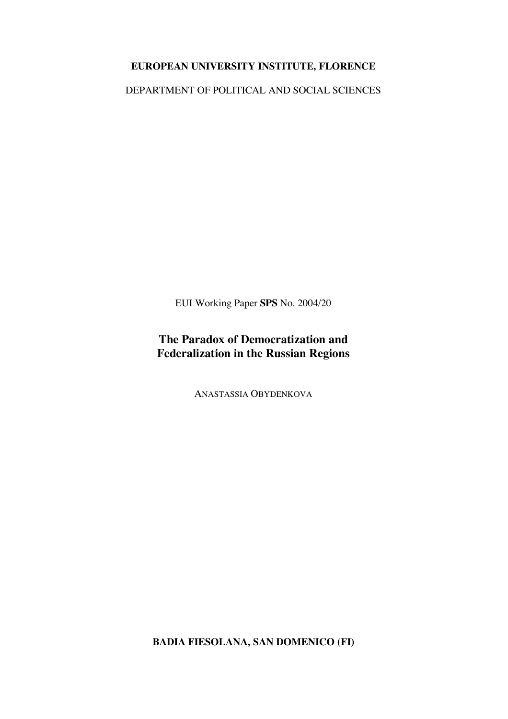# **EUROPEAN UNIVERSITY INSTITUTE, FLORENCE**

DEPARTMENT OF POLITICAL AND SOCIAL SCIENCES

EUI Working Paper **SPS** No. 2004/20

# **The Paradox of Democratization and Federalization in the Russian Regions**

ANASTASSIA OBYDENKOVA

**BADIA FIESOLANA, SAN DOMENICO (FI)**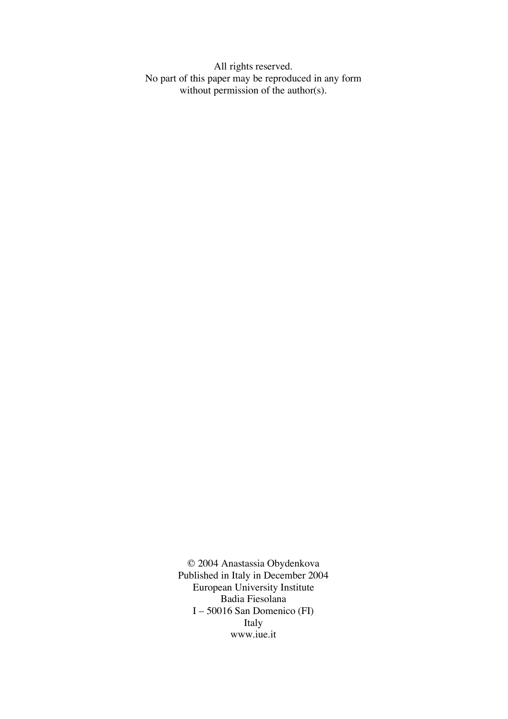All rights reserved. No part of this paper may be reproduced in any form without permission of the author(s).

> © 2004 Anastassia Obydenkova Published in Italy in December 2004 European University Institute Badia Fiesolana I – 50016 San Domenico (FI) Italy www.iue.it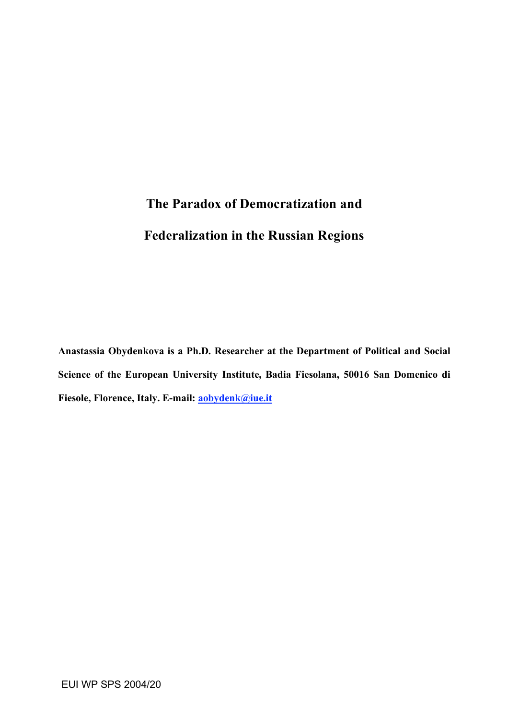# **The Paradox of Democratization and Federalization in the Russian Regions**

**Anastassia Obydenkova is a Ph.D. Researcher at the Department of Political and Social Science of the European University Institute, Badia Fiesolana, 50016 San Domenico di Fiesole, Florence, Italy. E-mail: aobydenk@iue.it**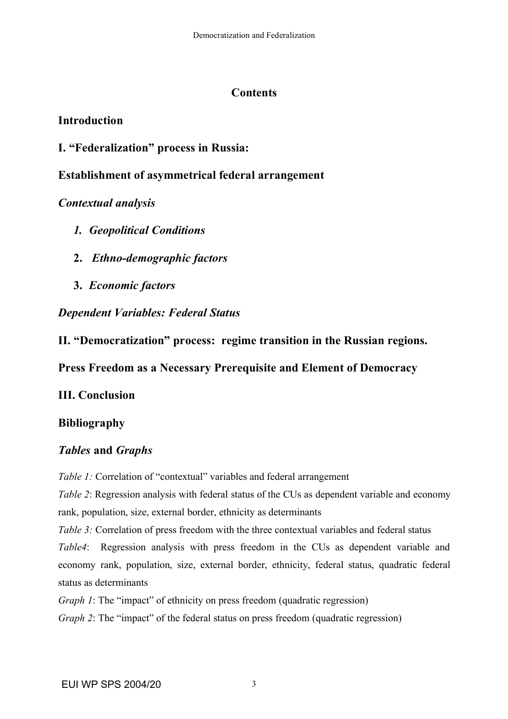# **Contents**

# **Introduction**

**I. "Federalization" process in Russia:**

# **Establishment of asymmetrical federal arrangement**

*Contextual analysis*

- *1. Geopolitical Conditions*
- **2.** *Ethno-demographic factors*
- **3.** *Economic factors*

*Dependent Variables: Federal Status*

**II. "Democratization" process: regime transition in the Russian regions.**

# **Press Freedom as a Necessary Prerequisite and Element of Democracy**

**III. Conclusion**

# **Bibliography**

# *Tables* **and** *Graphs*

*Table 1:* Correlation of "contextual" variables and federal arrangement

*Table 2*: Regression analysis with federal status of the CUs as dependent variable and economy rank, population, size, external border, ethnicity as determinants

*Table 3:* Correlation of press freedom with the three contextual variables and federal status *Table4*: Regression analysis with press freedom in the CUs as dependent variable and economy rank, population, size, external border, ethnicity, federal status, quadratic federal status as determinants

*Graph 1*: The "impact" of ethnicity on press freedom (quadratic regression)

*Graph 2*: The "impact" of the federal status on press freedom (quadratic regression)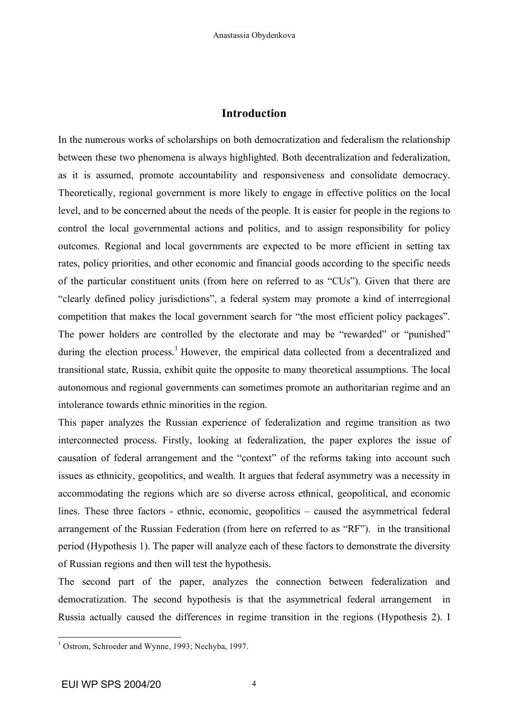## **Introduction**

In the numerous works of scholarships on both democratization and federalism the relationship between these two phenomena is always highlighted. Both decentralization and federalization, as it is assumed, promote accountability and responsiveness and consolidate democracy. Theoretically, regional government is more likely to engage in effective politics on the local level, and to be concerned about the needs of the people. It is easier for people in the regions to control the local governmental actions and politics, and to assign responsibility for policy outcomes. Regional and local governments are expected to be more efficient in setting tax rates, policy priorities, and other economic and financial goods according to the specific needs of the particular constituent units (from here on referred to as "CUs"). Given that there are "clearly defined policy jurisdictions", a federal system may promote a kind of interregional competition that makes the local government search for "the most efficient policy packages". The power holders are controlled by the electorate and may be "rewarded" or "punished" during the election process.<sup>1</sup> However, the empirical data collected from a decentralized and transitional state, Russia, exhibit quite the opposite to many theoretical assumptions. The local autonomous and regional governments can sometimes promote an authoritarian regime and an intolerance towards ethnic minorities in the region.

This paper analyzes the Russian experience of federalization and regime transition as two interconnected process. Firstly, looking at federalization, the paper explores the issue of causation of federal arrangement and the "context" of the reforms taking into account such issues as ethnicity, geopolitics, and wealth. It argues that federal asymmetry was a necessity in accommodating the regions which are so diverse across ethnical, geopolitical, and economic lines. These three factors - ethnic, economic, geopolitics – caused the asymmetrical federal arrangement of the Russian Federation (from here on referred to as "RF"). in the transitional period (Hypothesis 1). The paper will analyze each of these factors to demonstrate the diversity of Russian regions and then will test the hypothesis.

The second part of the paper, analyzes the connection between federalization and democratization. The second hypothesis is that the asymmetrical federal arrangement in Russia actually caused the differences in regime transition in the regions (Hypothesis 2). I

<sup>&</sup>lt;sup>1</sup> Ostrom, Schroeder and Wynne, 1993; Nechyba, 1997.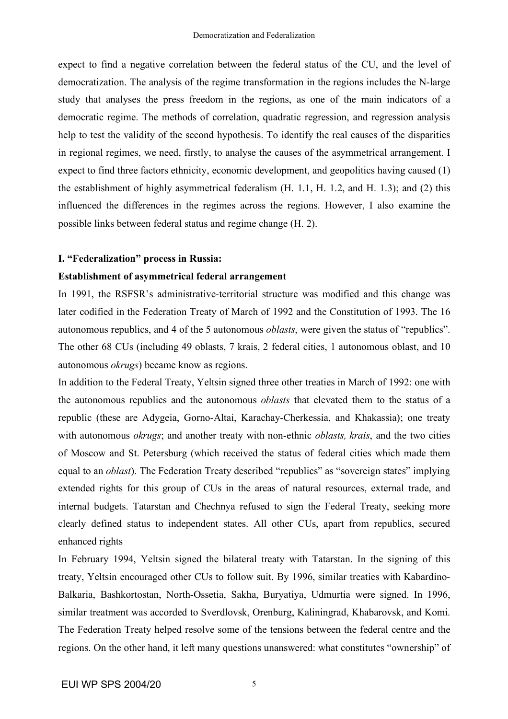expect to find a negative correlation between the federal status of the CU, and the level of democratization. The analysis of the regime transformation in the regions includes the N-large study that analyses the press freedom in the regions, as one of the main indicators of a democratic regime. The methods of correlation, quadratic regression, and regression analysis help to test the validity of the second hypothesis. To identify the real causes of the disparities in regional regimes, we need, firstly, to analyse the causes of the asymmetrical arrangement. I expect to find three factors ethnicity, economic development, and geopolitics having caused (1) the establishment of highly asymmetrical federalism (H. 1.1, H. 1.2, and H. 1.3); and (2) this influenced the differences in the regimes across the regions. However, I also examine the possible links between federal status and regime change (H. 2).

## **I. "Federalization" process in Russia:**

## **Establishment of asymmetrical federal arrangement**

In 1991, the RSFSR's administrative-territorial structure was modified and this change was later codified in the Federation Treaty of March of 1992 and the Constitution of 1993. The 16 autonomous republics, and 4 of the 5 autonomous *oblasts*, were given the status of "republics". The other 68 CUs (including 49 oblasts, 7 krais, 2 federal cities, 1 autonomous oblast, and 10 autonomous *okrugs*) became know as regions.

In addition to the Federal Treaty, Yeltsin signed three other treaties in March of 1992: one with the autonomous republics and the autonomous *oblasts* that elevated them to the status of a republic (these are Adygeia, Gorno-Altai, Karachay-Cherkessia, and Khakassia); one treaty with autonomous *okrugs*; and another treaty with non-ethnic *oblasts, krais*, and the two cities of Moscow and St. Petersburg (which received the status of federal cities which made them equal to an *oblast*). The Federation Treaty described "republics" as "sovereign states" implying extended rights for this group of CUs in the areas of natural resources, external trade, and internal budgets. Tatarstan and Chechnya refused to sign the Federal Treaty, seeking more clearly defined status to independent states. All other CUs, apart from republics, secured enhanced rights

In February 1994, Yeltsin signed the bilateral treaty with Tatarstan. In the signing of this treaty, Yeltsin encouraged other CUs to follow suit. By 1996, similar treaties with Kabardino-Balkaria, Bashkortostan, North-Ossetia, Sakha, Buryatiya, Udmurtia were signed. In 1996, similar treatment was accorded to Sverdlovsk, Orenburg, Kaliningrad, Khabarovsk, and Komi. The Federation Treaty helped resolve some of the tensions between the federal centre and the regions. On the other hand, it left many questions unanswered: what constitutes "ownership" of

5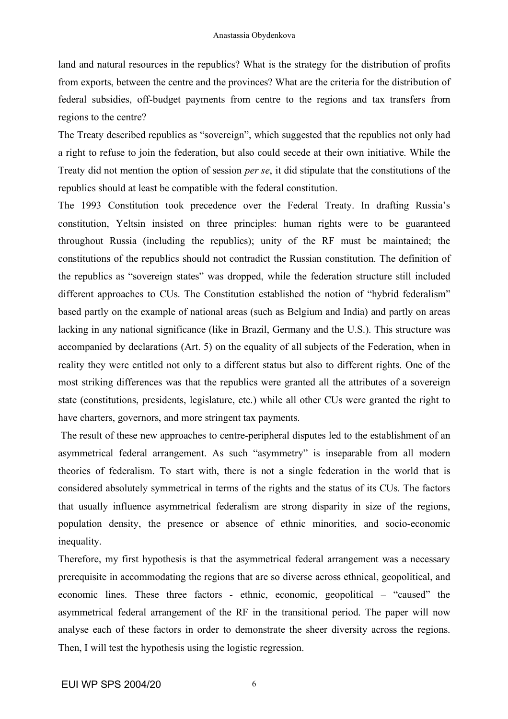land and natural resources in the republics? What is the strategy for the distribution of profits from exports, between the centre and the provinces? What are the criteria for the distribution of federal subsidies, off-budget payments from centre to the regions and tax transfers from regions to the centre?

The Treaty described republics as "sovereign", which suggested that the republics not only had a right to refuse to join the federation, but also could secede at their own initiative. While the Treaty did not mention the option of session *per se*, it did stipulate that the constitutions of the republics should at least be compatible with the federal constitution.

The 1993 Constitution took precedence over the Federal Treaty. In drafting Russia's constitution, Yeltsin insisted on three principles: human rights were to be guaranteed throughout Russia (including the republics); unity of the RF must be maintained; the constitutions of the republics should not contradict the Russian constitution. The definition of the republics as "sovereign states" was dropped, while the federation structure still included different approaches to CUs. The Constitution established the notion of "hybrid federalism" based partly on the example of national areas (such as Belgium and India) and partly on areas lacking in any national significance (like in Brazil, Germany and the U.S.). This structure was accompanied by declarations (Art. 5) on the equality of all subjects of the Federation, when in reality they were entitled not only to a different status but also to different rights. One of the most striking differences was that the republics were granted all the attributes of a sovereign state (constitutions, presidents, legislature, etc.) while all other CUs were granted the right to have charters, governors, and more stringent tax payments.

The result of these new approaches to centre-peripheral disputes led to the establishment of an asymmetrical federal arrangement. As such "asymmetry" is inseparable from all modern theories of federalism. To start with, there is not a single federation in the world that is considered absolutely symmetrical in terms of the rights and the status of its CUs. The factors that usually influence asymmetrical federalism are strong disparity in size of the regions, population density, the presence or absence of ethnic minorities, and socio-economic inequality.

Therefore, my first hypothesis is that the asymmetrical federal arrangement was a necessary prerequisite in accommodating the regions that are so diverse across ethnical, geopolitical, and economic lines. These three factors - ethnic, economic, geopolitical – "caused" the asymmetrical federal arrangement of the RF in the transitional period. The paper will now analyse each of these factors in order to demonstrate the sheer diversity across the regions. Then, I will test the hypothesis using the logistic regression.

6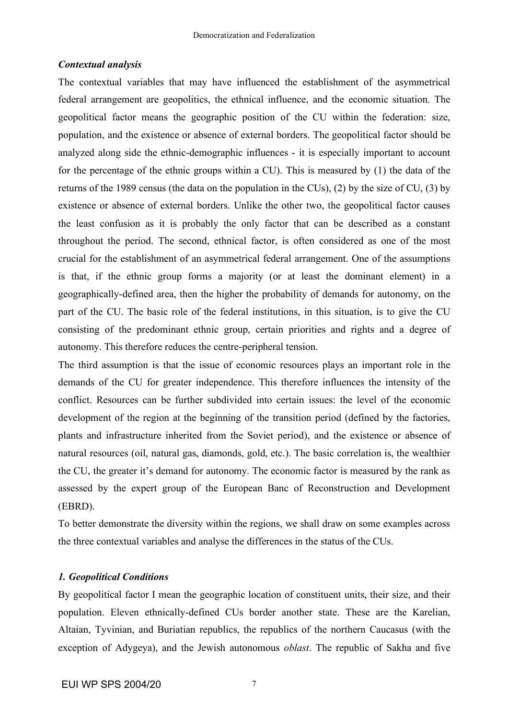## *Contextual analysis*

The contextual variables that may have influenced the establishment of the asymmetrical federal arrangement are geopolitics, the ethnical influence, and the economic situation. The geopolitical factor means the geographic position of the CU within the federation: size, population, and the existence or absence of external borders. The geopolitical factor should be analyzed along side the ethnic-demographic influences - it is especially important to account for the percentage of the ethnic groups within a CU). This is measured by (1) the data of the returns of the 1989 census (the data on the population in the CUs), (2) by the size of CU, (3) by existence or absence of external borders. Unlike the other two, the geopolitical factor causes the least confusion as it is probably the only factor that can be described as a constant throughout the period. The second, ethnical factor, is often considered as one of the most crucial for the establishment of an asymmetrical federal arrangement. One of the assumptions is that, if the ethnic group forms a majority (or at least the dominant element) in a geographically-defined area, then the higher the probability of demands for autonomy, on the part of the CU. The basic role of the federal institutions, in this situation, is to give the CU consisting of the predominant ethnic group, certain priorities and rights and a degree of autonomy. This therefore reduces the centre-peripheral tension.

The third assumption is that the issue of economic resources plays an important role in the demands of the CU for greater independence. This therefore influences the intensity of the conflict. Resources can be further subdivided into certain issues: the level of the economic development of the region at the beginning of the transition period (defined by the factories, plants and infrastructure inherited from the Soviet period), and the existence or absence of natural resources (oil, natural gas, diamonds, gold, etc.). The basic correlation is, the wealthier the CU, the greater it's demand for autonomy. The economic factor is measured by the rank as assessed by the expert group of the European Banc of Reconstruction and Development (EBRD).

To better demonstrate the diversity within the regions, we shall draw on some examples across the three contextual variables and analyse the differences in the status of the CUs.

### *1. Geopolitical Conditions*

By geopolitical factor I mean the geographic location of constituent units, their size, and their population. Eleven ethnically-defined CUs border another state. These are the Karelian, Altaian, Tyvinian, and Buriatian republics, the republics of the northern Caucasus (with the exception of Adygeya), and the Jewish autonomous *oblast*. The republic of Sakha and five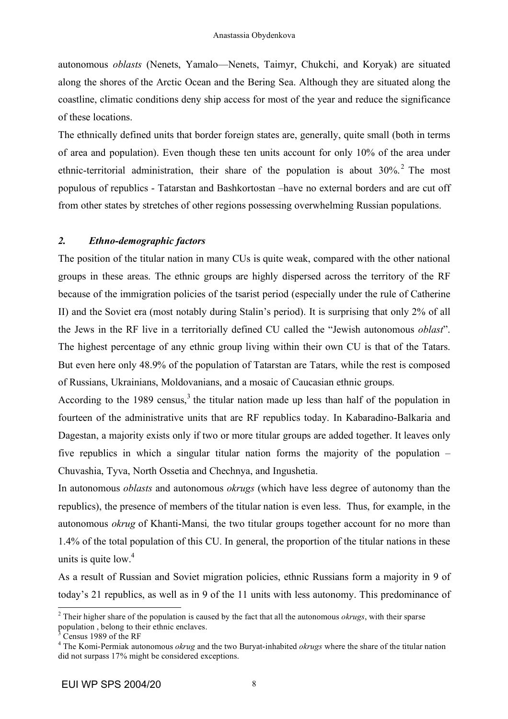autonomous *oblasts* (Nenets, Yamalo—Nenets, Taimyr, Chukchi, and Koryak) are situated along the shores of the Arctic Ocean and the Bering Sea. Although they are situated along the coastline, climatic conditions deny ship access for most of the year and reduce the significance of these locations.

The ethnically defined units that border foreign states are, generally, quite small (both in terms of area and population). Even though these ten units account for only 10% of the area under ethnic-territorial administration, their share of the population is about 30%.<sup>2</sup> The most populous of republics - Tatarstan and Bashkortostan –have no external borders and are cut off from other states by stretches of other regions possessing overwhelming Russian populations.

# *2. Ethno-demographic factors*

The position of the titular nation in many CUs is quite weak, compared with the other national groups in these areas. The ethnic groups are highly dispersed across the territory of the RF because of the immigration policies of the tsarist period (especially under the rule of Catherine II) and the Soviet era (most notably during Stalin's period). It is surprising that only 2% of all the Jews in the RF live in a territorially defined CU called the "Jewish autonomous *oblast*". The highest percentage of any ethnic group living within their own CU is that of the Tatars. But even here only 48.9% of the population of Tatarstan are Tatars, while the rest is composed of Russians, Ukrainians, Moldovanians, and a mosaic of Caucasian ethnic groups.

According to the 1989 census,<sup>3</sup> the titular nation made up less than half of the population in fourteen of the administrative units that are RF republics today. In Kabaradino-Balkaria and Dagestan, a majority exists only if two or more titular groups are added together. It leaves only five republics in which a singular titular nation forms the majority of the population – Chuvashia, Tyva, North Ossetia and Chechnya, and Ingushetia.

In autonomous *oblasts* and autonomous *okrugs* (which have less degree of autonomy than the republics), the presence of members of the titular nation is even less. Thus, for example, in the autonomous *okrug* of Khanti-Mansi*,* the two titular groups together account for no more than 1.4% of the total population of this CU. In general, the proportion of the titular nations in these units is quite low. 4

As a result of Russian and Soviet migration policies, ethnic Russians form a majority in 9 of today's 21 republics, as well as in 9 of the 11 units with less autonomy. This predominance of

<sup>&</sup>lt;sup>2</sup> Their higher share of the population is caused by the fact that all the autonomous *okrugs*, with their sparse population, belong to their ethnic enclaves.

<sup>&</sup>lt;sup>3</sup> Census 1989 of the RF<br><sup>4</sup> The Komi-Permiak autonomous *okrug* and the two Buryat-inhabited *okrugs* where the share of the titular nation did not surpass 17% might be considered exceptions.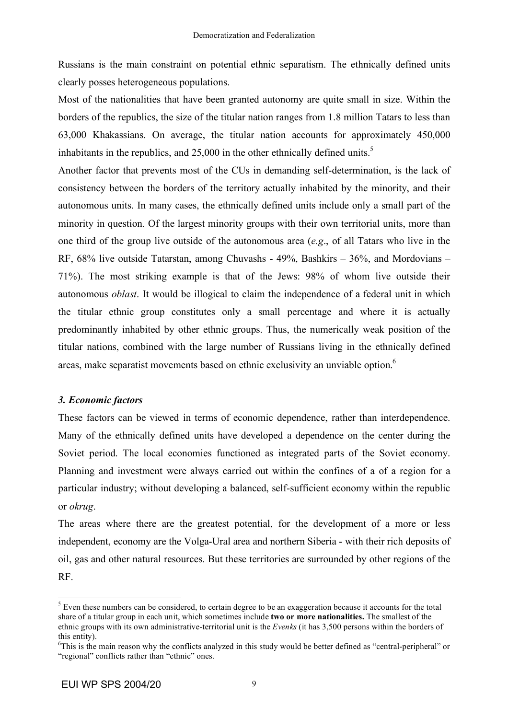Russians is the main constraint on potential ethnic separatism. The ethnically defined units clearly posses heterogeneous populations.

Most of the nationalities that have been granted autonomy are quite small in size. Within the borders of the republics, the size of the titular nation ranges from 1.8 million Tatars to less than 63,000 Khakassians. On average, the titular nation accounts for approximately 450,000 inhabitants in the republics, and 25,000 in the other ethnically defined units.<sup>5</sup>

Another factor that prevents most of the CUs in demanding self-determination, is the lack of consistency between the borders of the territory actually inhabited by the minority, and their autonomous units. In many cases, the ethnically defined units include only a small part of the minority in question. Of the largest minority groups with their own territorial units, more than one third of the group live outside of the autonomous area (*e.g*., of all Tatars who live in the RF, 68% live outside Tatarstan, among Chuvashs - 49%, Bashkirs – 36%, and Mordovians – 71%). The most striking example is that of the Jews: 98% of whom live outside their autonomous *oblast*. It would be illogical to claim the independence of a federal unit in which the titular ethnic group constitutes only a small percentage and where it is actually predominantly inhabited by other ethnic groups. Thus, the numerically weak position of the titular nations, combined with the large number of Russians living in the ethnically defined areas, make separatist movements based on ethnic exclusivity an unviable option.<sup>6</sup>

## *3. Economic factors*

These factors can be viewed in terms of economic dependence, rather than interdependence. Many of the ethnically defined units have developed a dependence on the center during the Soviet period. The local economies functioned as integrated parts of the Soviet economy. Planning and investment were always carried out within the confines of a of a region for a particular industry; without developing a balanced, self-sufficient economy within the republic or *okrug*.

The areas where there are the greatest potential, for the development of a more or less independent, economy are the Volga-Ural area and northern Siberia - with their rich deposits of oil, gas and other natural resources. But these territories are surrounded by other regions of the RF.

<sup>&</sup>lt;sup>5</sup> Even these numbers can be considered, to certain degree to be an exaggeration because it accounts for the total share of a titular group in each unit, which sometimes include **two or more nationalities.** The smallest of the ethnic groups with its own administrative-territorial unit is the *Evenks* (it has 3,500 persons within the borders of this entity).

<sup>&</sup>lt;sup>6</sup>This is the main reason why the conflicts analyzed in this study would be better defined as "central-peripheral" or "regional" conflicts rather than "ethnic" ones.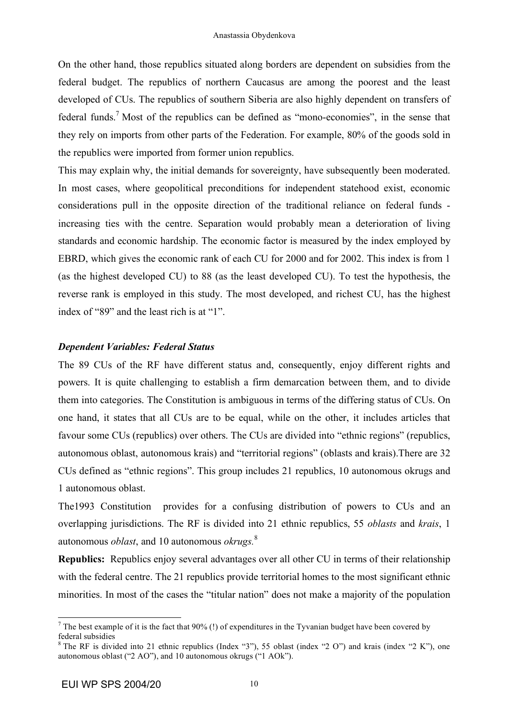On the other hand, those republics situated along borders are dependent on subsidies from the federal budget. The republics of northern Caucasus are among the poorest and the least developed of CUs. The republics of southern Siberia are also highly dependent on transfers of federal funds.<sup>7</sup> Most of the republics can be defined as "mono-economies", in the sense that they rely on imports from other parts of the Federation. For example, 80% of the goods sold in the republics were imported from former union republics.

This may explain why, the initial demands for sovereignty, have subsequently been moderated. In most cases, where geopolitical preconditions for independent statehood exist, economic considerations pull in the opposite direction of the traditional reliance on federal funds increasing ties with the centre. Separation would probably mean a deterioration of living standards and economic hardship. The economic factor is measured by the index employed by EBRD, which gives the economic rank of each CU for 2000 and for 2002. This index is from 1 (as the highest developed CU) to 88 (as the least developed CU). To test the hypothesis, the reverse rank is employed in this study. The most developed, and richest CU, has the highest index of "89" and the least rich is at "1".

## *Dependent Variables: Federal Status*

The 89 CUs of the RF have different status and, consequently, enjoy different rights and powers. It is quite challenging to establish a firm demarcation between them, and to divide them into categories. The Constitution is ambiguous in terms of the differing status of CUs. On one hand, it states that all CUs are to be equal, while on the other, it includes articles that favour some CUs (republics) over others. The CUs are divided into "ethnic regions" (republics, autonomous oblast, autonomous krais) and "territorial regions" (oblasts and krais).There are 32 CUs defined as "ethnic regions". This group includes 21 republics, 10 autonomous okrugs and 1 autonomous oblast.

The1993 Constitution provides for a confusing distribution of powers to CUs and an overlapping jurisdictions. The RF is divided into 21 ethnic republics, 55 *oblasts* and *krais*, 1 autonomous *oblast*, and 10 autonomous *okrugs.* 8

**Republics:** Republics enjoy several advantages over all other CU in terms of their relationship with the federal centre. The 21 republics provide territorial homes to the most significant ethnic minorities. In most of the cases the "titular nation" does not make a majority of the population

<sup>&</sup>lt;sup>7</sup> The best example of it is the fact that  $90\%$  (!) of expenditures in the Tyvanian budget have been covered by federal subsidies  ${}^8$  The RF is divided into 21 ethnic republics (Index "3"), 55 oblast (index "2 O") and krais (index "2 K"), one

autonomous oblast ("2 AO"), and 10 autonomous okrugs ("1 AOk").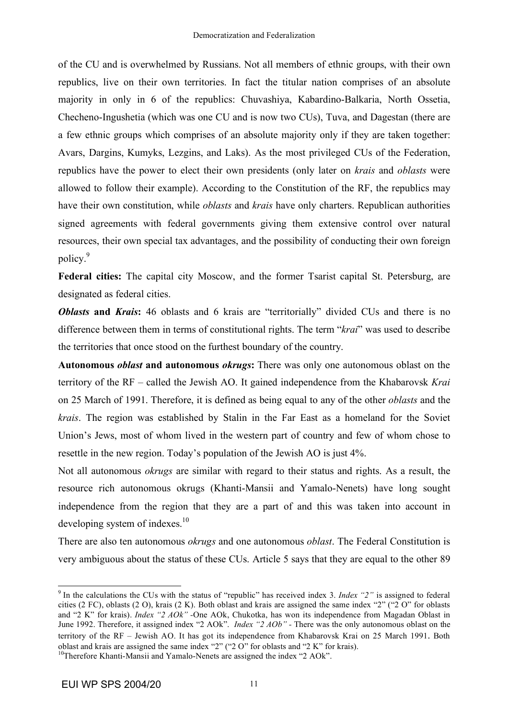of the CU and is overwhelmed by Russians. Not all members of ethnic groups, with their own republics, live on their own territories. In fact the titular nation comprises of an absolute majority in only in 6 of the republics: Chuvashiya, Kabardino-Balkaria, North Ossetia, Checheno-Ingushetia (which was one CU and is now two CUs), Tuva, and Dagestan (there are a few ethnic groups which comprises of an absolute majority only if they are taken together: Avars, Dargins, Kumyks, Lezgins, and Laks). As the most privileged CUs of the Federation, republics have the power to elect their own presidents (only later on *krais* and *oblasts* were allowed to follow their example). According to the Constitution of the RF, the republics may have their own constitution, while *oblasts* and *krais* have only charters. Republican authorities signed agreements with federal governments giving them extensive control over natural resources, their own special tax advantages, and the possibility of conducting their own foreign policy. 9

**Federal cities:** The capital city Moscow, and the former Tsarist capital St. Petersburg, are designated as federal cities.

*Oblasts* and *Krais*: 46 oblasts and 6 krais are "territorially" divided CUs and there is no difference between them in terms of constitutional rights. The term "*krai*" was used to describe the territories that once stood on the furthest boundary of the country.

**Autonomous** *oblast* **and autonomous** *okrugs***:** There was only one autonomous oblast on the territory of the RF – called the Jewish AO. It gained independence from the Khabarovsk *Krai* on 25 March of 1991. Therefore, it is defined as being equal to any of the other *oblasts* and the *krais*. The region was established by Stalin in the Far East as a homeland for the Soviet Union's Jews, most of whom lived in the western part of country and few of whom chose to resettle in the new region. Today's population of the Jewish AO is just 4%.

Not all autonomous *okrugs* are similar with regard to their status and rights. As a result, the resource rich autonomous okrugs (Khanti-Mansii and Yamalo-Nenets) have long sought independence from the region that they are a part of and this was taken into account in developing system of indexes.<sup>10</sup>

There are also ten autonomous *okrugs* and one autonomous *oblast*. The Federal Constitution is very ambiguous about the status of these CUs. Article 5 says that they are equal to the other 89

 <sup>9</sup> In the calculations the CUs with the status of "republic" has received index 3. *Index "2"* is assigned to federal cities (2 FC), oblasts (2 O), krais (2 K). Both oblast and krais are assigned the same index "2" ("2 O" for oblasts and "2 K" for krais). *Index "2 AOk" -*One AOk, Chukotka, has won its independence from Magadan Oblast in June 1992. Therefore, it assigned index "2 AOk". *Index* "2 *AOb*" - There was the only autonomous oblast on the territory of the RF – Jewish AO. It has got its independence from Khabarovsk Krai on 25 March 1991. Both oblast and krais are assigned the same index "2" ("2 O" for oblasts and "2 K" for krais). <sup>10</sup>Therefore Khanti-Mansii and Yamalo-Nenets are assigned the index "2 AOk".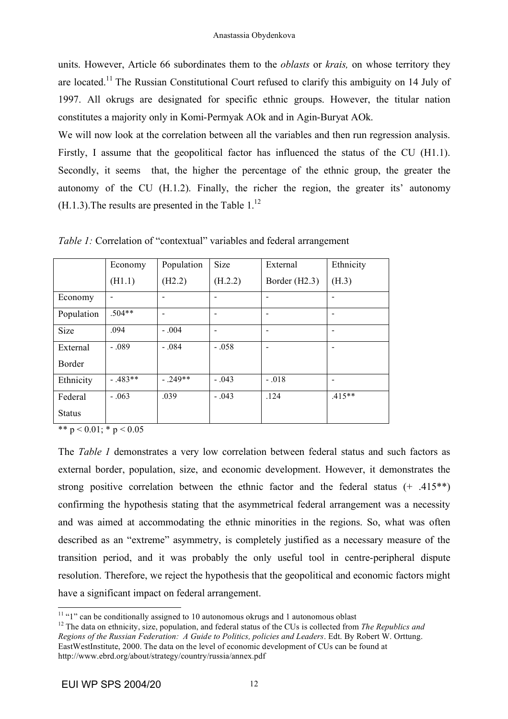units. However, Article 66 subordinates them to the *oblasts* or *krais,* on whose territory they are located.<sup>11</sup> The Russian Constitutional Court refused to clarify this ambiguity on 14 July of 1997. All okrugs are designated for specific ethnic groups. However, the titular nation constitutes a majority only in Komi-Permyak AOk and in Agin-Buryat AOk.

We will now look at the correlation between all the variables and then run regression analysis. Firstly, I assume that the geopolitical factor has influenced the status of the CU (H1.1). Secondly, it seems that, the higher the percentage of the ethnic group, the greater the autonomy of the CU (H.1.2). Finally, the richer the region, the greater its' autonomy  $(H.1.3)$ . The results are presented in the Table  $1.^{12}$ .

|               | Economy  | Population     | Size    | External      | Ethnicity                    |
|---------------|----------|----------------|---------|---------------|------------------------------|
|               | (H1.1)   | (H2.2)         | (H.2.2) | Border (H2.3) | (H.3)                        |
| Economy       |          |                |         |               |                              |
| Population    | $.504**$ | $\blacksquare$ |         |               | $\overline{\phantom{a}}$     |
| <b>Size</b>   | .094     | $-.004$        |         |               | $\qquad \qquad \blacksquare$ |
| External      | $-.089$  | $-.084$        | $-.058$ |               | $\qquad \qquad \blacksquare$ |
| <b>Border</b> |          |                |         |               |                              |
| Ethnicity     | $-483**$ | $-.249**$      | $-.043$ | $-.018$       |                              |
| Federal       | $-.063$  | .039           | $-.043$ | .124          | $.415**$                     |
| <b>Status</b> |          |                |         |               |                              |

*Table 1:* Correlation of "contextual" variables and federal arrangement

\*\*  $p < 0.01$ ; \*  $p < 0.05$ 

The *Table 1* demonstrates a very low correlation between federal status and such factors as external border, population, size, and economic development. However, it demonstrates the strong positive correlation between the ethnic factor and the federal status (+ .415\*\*) confirming the hypothesis stating that the asymmetrical federal arrangement was a necessity and was aimed at accommodating the ethnic minorities in the regions. So, what was often described as an "extreme" asymmetry, is completely justified as a necessary measure of the transition period, and it was probably the only useful tool in centre-peripheral dispute resolution. Therefore, we reject the hypothesis that the geopolitical and economic factors might have a significant impact on federal arrangement.

<sup>&</sup>lt;sup>11</sup> "1" can be conditionally assigned to 10 autonomous okrugs and 1 autonomous oblast <sup>12</sup> The data on ethnicity, size, population, and federal status of the CUs is collected from *The Republics and Regions of the Russian Federation: A Guide to Politics, policies and Leaders*. Edt. By Robert W. Orttung. EastWestInstitute, 2000. The data on the level of economic development of CUs can be found at http://www.ebrd.org/about/strategy/country/russia/annex.pdf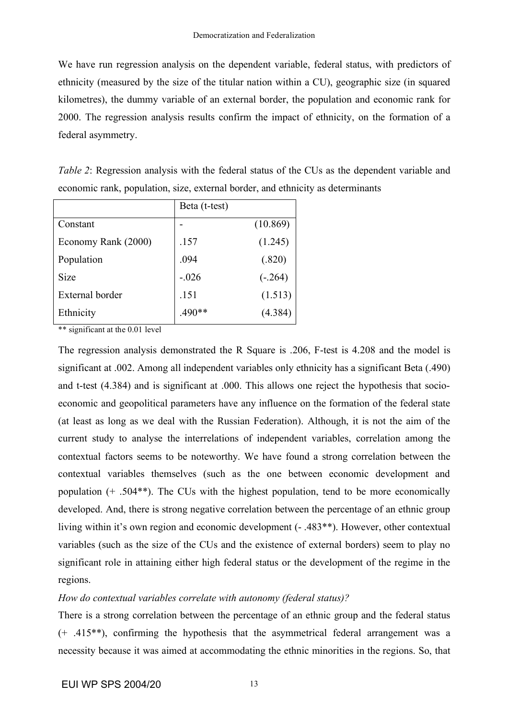We have run regression analysis on the dependent variable, federal status, with predictors of ethnicity (measured by the size of the titular nation within a CU), geographic size (in squared kilometres), the dummy variable of an external border, the population and economic rank for 2000. The regression analysis results confirm the impact of ethnicity, on the formation of a federal asymmetry.

| <i>Table 2:</i> Regression analysis with the federal status of the CUs as the dependent variable and |  |  |  |
|------------------------------------------------------------------------------------------------------|--|--|--|
| economic rank, population, size, external border, and ethnicity as determinants                      |  |  |  |

|                     | Beta (t-test) |           |  |
|---------------------|---------------|-----------|--|
| Constant            |               | (10.869)  |  |
| Economy Rank (2000) | .157          | (1.245)   |  |
| Population          | .094          | (.820)    |  |
| <b>Size</b>         | $-.026$       | $(-.264)$ |  |
| External border     | .151          | (1.513)   |  |
| Ethnicity           | $.490**$      | (4.384)   |  |

\*\* significant at the 0.01 level

The regression analysis demonstrated the R Square is .206, F-test is 4.208 and the model is significant at .002. Among all independent variables only ethnicity has a significant Beta (.490) and t-test (4.384) and is significant at .000. This allows one reject the hypothesis that socioeconomic and geopolitical parameters have any influence on the formation of the federal state (at least as long as we deal with the Russian Federation). Although, it is not the aim of the current study to analyse the interrelations of independent variables, correlation among the contextual factors seems to be noteworthy. We have found a strong correlation between the contextual variables themselves (such as the one between economic development and population (+ .504\*\*). The CUs with the highest population, tend to be more economically developed. And, there is strong negative correlation between the percentage of an ethnic group living within it's own region and economic development (- .483\*\*). However, other contextual variables (such as the size of the CUs and the existence of external borders) seem to play no significant role in attaining either high federal status or the development of the regime in the regions.

## *How do contextual variables correlate with autonomy (federal status)?*

There is a strong correlation between the percentage of an ethnic group and the federal status (+ .415\*\*), confirming the hypothesis that the asymmetrical federal arrangement was a necessity because it was aimed at accommodating the ethnic minorities in the regions. So, that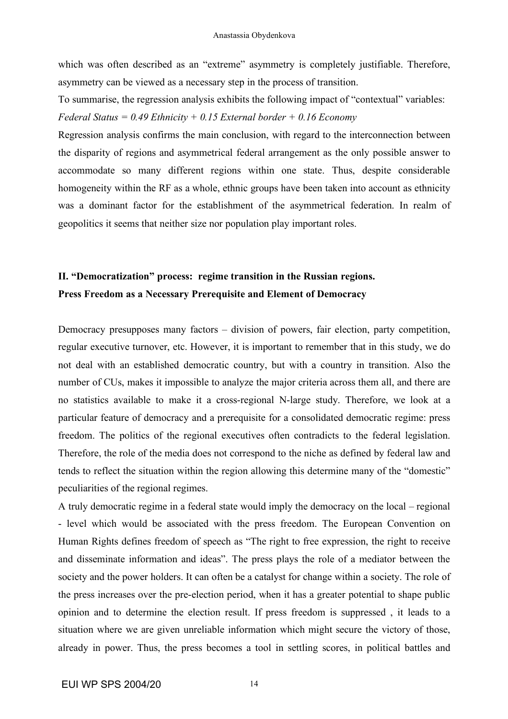which was often described as an "extreme" asymmetry is completely justifiable. Therefore, asymmetry can be viewed as a necessary step in the process of transition.

To summarise, the regression analysis exhibits the following impact of "contextual" variables: *Federal Status = 0.49 Ethnicity + 0.15 External border + 0.16 Economy*

Regression analysis confirms the main conclusion, with regard to the interconnection between the disparity of regions and asymmetrical federal arrangement as the only possible answer to accommodate so many different regions within one state. Thus, despite considerable homogeneity within the RF as a whole, ethnic groups have been taken into account as ethnicity was a dominant factor for the establishment of the asymmetrical federation. In realm of geopolitics it seems that neither size nor population play important roles.

# **II. "Democratization" process: regime transition in the Russian regions. Press Freedom as a Necessary Prerequisite and Element of Democracy**

Democracy presupposes many factors – division of powers, fair election, party competition, regular executive turnover, etc. However, it is important to remember that in this study, we do not deal with an established democratic country, but with a country in transition. Also the number of CUs, makes it impossible to analyze the major criteria across them all, and there are no statistics available to make it a cross-regional N-large study. Therefore, we look at a particular feature of democracy and a prerequisite for a consolidated democratic regime: press freedom. The politics of the regional executives often contradicts to the federal legislation. Therefore, the role of the media does not correspond to the niche as defined by federal law and tends to reflect the situation within the region allowing this determine many of the "domestic" peculiarities of the regional regimes.

A truly democratic regime in a federal state would imply the democracy on the local – regional - level which would be associated with the press freedom. The European Convention on Human Rights defines freedom of speech as "The right to free expression, the right to receive and disseminate information and ideas". The press plays the role of a mediator between the society and the power holders. It can often be a catalyst for change within a society. The role of the press increases over the pre-election period, when it has a greater potential to shape public opinion and to determine the election result. If press freedom is suppressed , it leads to a situation where we are given unreliable information which might secure the victory of those, already in power. Thus, the press becomes a tool in settling scores, in political battles and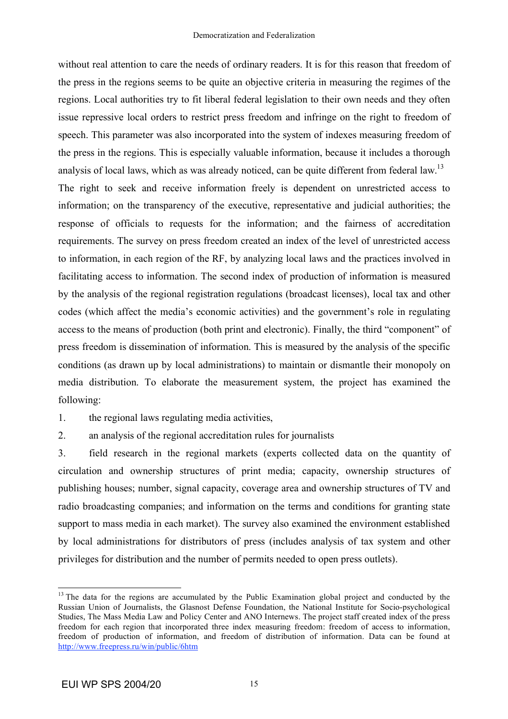without real attention to care the needs of ordinary readers. It is for this reason that freedom of the press in the regions seems to be quite an objective criteria in measuring the regimes of the regions. Local authorities try to fit liberal federal legislation to their own needs and they often issue repressive local orders to restrict press freedom and infringe on the right to freedom of speech. This parameter was also incorporated into the system of indexes measuring freedom of the press in the regions. This is especially valuable information, because it includes a thorough analysis of local laws, which as was already noticed, can be quite different from federal law.<sup>13</sup> The right to seek and receive information freely is dependent on unrestricted access to information; on the transparency of the executive, representative and judicial authorities; the response of officials to requests for the information; and the fairness of accreditation requirements. The survey on press freedom created an index of the level of unrestricted access to information, in each region of the RF, by analyzing local laws and the practices involved in facilitating access to information. The second index of production of information is measured by the analysis of the regional registration regulations (broadcast licenses), local tax and other codes (which affect the media's economic activities) and the government's role in regulating access to the means of production (both print and electronic). Finally, the third "component" of press freedom is dissemination of information. This is measured by the analysis of the specific conditions (as drawn up by local administrations) to maintain or dismantle their monopoly on media distribution. To elaborate the measurement system, the project has examined the following:

1. the regional laws regulating media activities,

2. an analysis of the regional accreditation rules for journalists

3. field research in the regional markets (experts collected data on the quantity of circulation and ownership structures of print media; capacity, ownership structures of publishing houses; number, signal capacity, coverage area and ownership structures of TV and radio broadcasting companies; and information on the terms and conditions for granting state support to mass media in each market). The survey also examined the environment established by local administrations for distributors of press (includes analysis of tax system and other privileges for distribution and the number of permits needed to open press outlets).

<sup>&</sup>lt;sup>13</sup> The data for the regions are accumulated by the Public Examination global project and conducted by the Russian Union of Journalists, the Glasnost Defense Foundation, the National Institute for Socio-psychological Studies, The Mass Media Law and Policy Center and ANO Internews. The project staff created index of the press freedom for each region that incorporated three index measuring freedom: freedom of access to information, freedom of production of information, and freedom of distribution of information. Data can be found at http://www.freepress.ru/win/public/6htm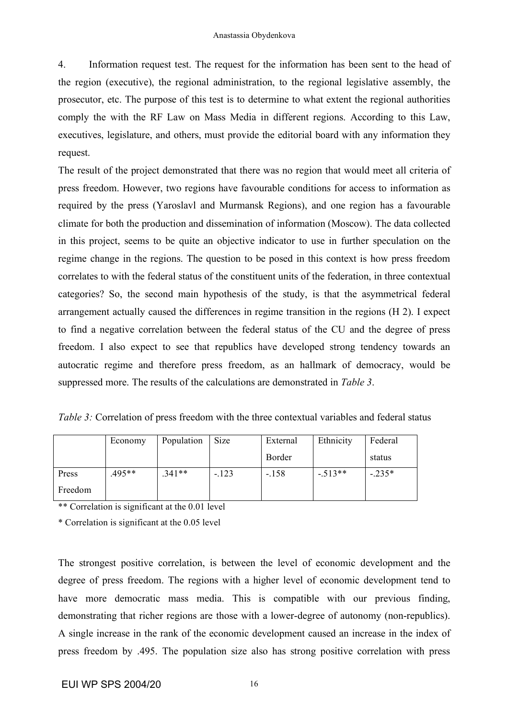4. Information request test. The request for the information has been sent to the head of the region (executive), the regional administration, to the regional legislative assembly, the prosecutor, etc. The purpose of this test is to determine to what extent the regional authorities comply the with the RF Law on Mass Media in different regions. According to this Law, executives, legislature, and others, must provide the editorial board with any information they request.

The result of the project demonstrated that there was no region that would meet all criteria of press freedom. However, two regions have favourable conditions for access to information as required by the press (Yaroslavl and Murmansk Regions), and one region has a favourable climate for both the production and dissemination of information (Moscow). The data collected in this project, seems to be quite an objective indicator to use in further speculation on the regime change in the regions. The question to be posed in this context is how press freedom correlates to with the federal status of the constituent units of the federation, in three contextual categories? So, the second main hypothesis of the study, is that the asymmetrical federal arrangement actually caused the differences in regime transition in the regions (H 2). I expect to find a negative correlation between the federal status of the CU and the degree of press freedom. I also expect to see that republics have developed strong tendency towards an autocratic regime and therefore press freedom, as an hallmark of democracy, would be suppressed more. The results of the calculations are demonstrated in *Table 3*.

| <i>Table 3:</i> Correlation of press freedom with the three contextual variables and federal status |  |  |  |
|-----------------------------------------------------------------------------------------------------|--|--|--|
|-----------------------------------------------------------------------------------------------------|--|--|--|

|         | Economy | Population | Size    | External | Ethnicity | Federal |
|---------|---------|------------|---------|----------|-----------|---------|
|         |         |            |         | Border   |           | status  |
| Press   | .495**  | $341**$    | $-.123$ | $-.158$  | $-.513**$ | $-235*$ |
| Freedom |         |            |         |          |           |         |

\*\* Correlation is significant at the 0.01 level

\* Correlation is significant at the 0.05 level

The strongest positive correlation, is between the level of economic development and the degree of press freedom. The regions with a higher level of economic development tend to have more democratic mass media. This is compatible with our previous finding, demonstrating that richer regions are those with a lower-degree of autonomy (non-republics). A single increase in the rank of the economic development caused an increase in the index of press freedom by .495. The population size also has strong positive correlation with press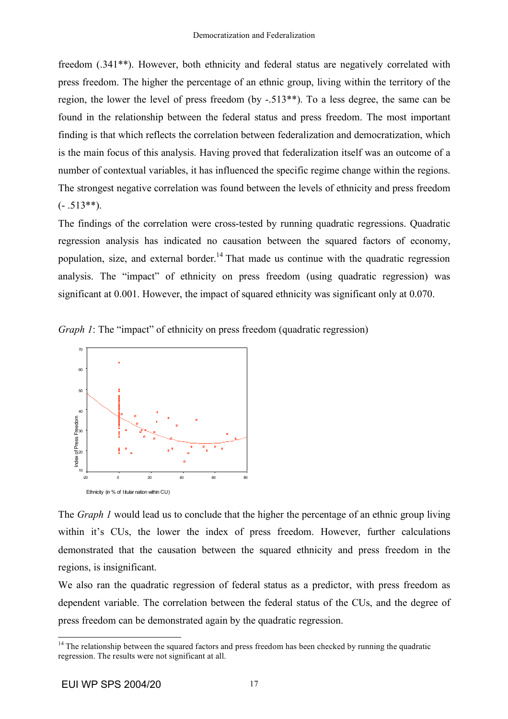freedom (.341\*\*). However, both ethnicity and federal status are negatively correlated with press freedom. The higher the percentage of an ethnic group, living within the territory of the region, the lower the level of press freedom (by -.513\*\*). To a less degree, the same can be found in the relationship between the federal status and press freedom. The most important finding is that which reflects the correlation between federalization and democratization, which is the main focus of this analysis. Having proved that federalization itself was an outcome of a number of contextual variables, it has influenced the specific regime change within the regions. The strongest negative correlation was found between the levels of ethnicity and press freedom  $(-.513**)$ .

The findings of the correlation were cross-tested by running quadratic regressions. Quadratic regression analysis has indicated no causation between the squared factors of economy, population, size, and external border.<sup>14</sup> That made us continue with the quadratic regression analysis. The "impact" of ethnicity on press freedom (using quadratic regression) was significant at 0.001. However, the impact of squared ethnicity was significant only at 0.070.

*Graph 1*: The "impact" of ethnicity on press freedom (quadratic regression)



The *Graph 1* would lead us to conclude that the higher the percentage of an ethnic group living within it's CUs, the lower the index of press freedom. However, further calculations demonstrated that the causation between the squared ethnicity and press freedom in the regions, is insignificant.

We also ran the quadratic regression of federal status as a predictor, with press freedom as dependent variable. The correlation between the federal status of the CUs, and the degree of press freedom can be demonstrated again by the quadratic regression.

 $14$  The relationship between the squared factors and press freedom has been checked by running the quadratic regression. The results were not significant at all.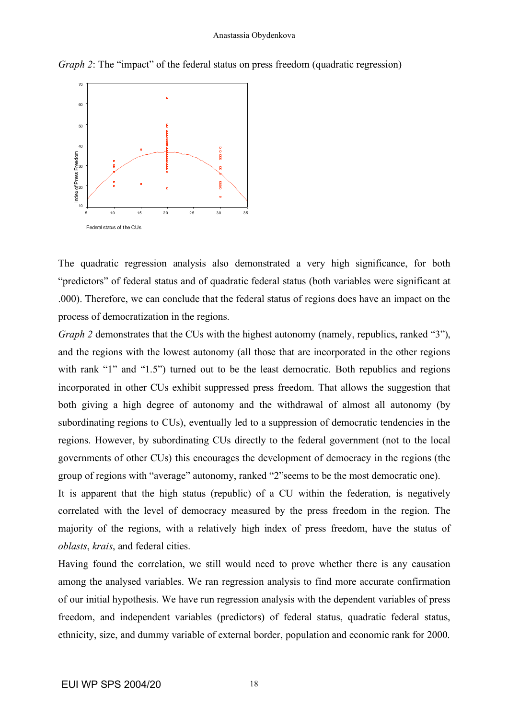#### Anastassia Obydenkova



*Graph 2*: The "impact" of the federal status on press freedom (quadratic regression)

The quadratic regression analysis also demonstrated a very high significance, for both "predictors" of federal status and of quadratic federal status (both variables were significant at .000). Therefore, we can conclude that the federal status of regions does have an impact on the process of democratization in the regions.

*Graph 2* demonstrates that the CUs with the highest autonomy (namely, republics, ranked "3"), and the regions with the lowest autonomy (all those that are incorporated in the other regions with rank "1" and "1.5") turned out to be the least democratic. Both republics and regions incorporated in other CUs exhibit suppressed press freedom. That allows the suggestion that both giving a high degree of autonomy and the withdrawal of almost all autonomy (by subordinating regions to CUs), eventually led to a suppression of democratic tendencies in the regions. However, by subordinating CUs directly to the federal government (not to the local governments of other CUs) this encourages the development of democracy in the regions (the group of regions with "average" autonomy, ranked "2"seems to be the most democratic one).

It is apparent that the high status (republic) of a CU within the federation, is negatively correlated with the level of democracy measured by the press freedom in the region. The majority of the regions, with a relatively high index of press freedom, have the status of *oblasts*, *krais*, and federal cities.

Having found the correlation, we still would need to prove whether there is any causation among the analysed variables. We ran regression analysis to find more accurate confirmation of our initial hypothesis. We have run regression analysis with the dependent variables of press freedom, and independent variables (predictors) of federal status, quadratic federal status, ethnicity, size, and dummy variable of external border, population and economic rank for 2000.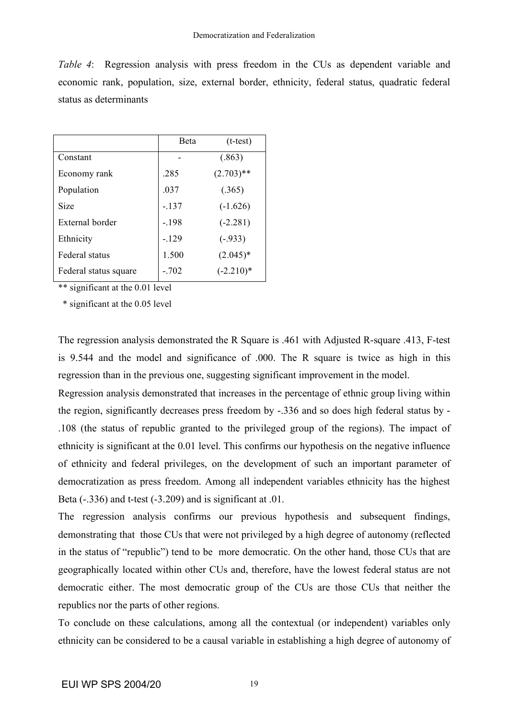*Table 4*: Regression analysis with press freedom in the CUs as dependent variable and economic rank, population, size, external border, ethnicity, federal status, quadratic federal status as determinants

|                       | <b>B</b> eta | $(t-test)$   |
|-----------------------|--------------|--------------|
| Constant              |              | (.863)       |
| Economy rank          | .285         | $(2.703)$ ** |
| Population            | .037         | (.365)       |
| Size                  | $-137$       | $(-1.626)$   |
| External border       | $-198$       | $(-2.281)$   |
| Ethnicity             | $-129$       | $(-.933)$    |
| Federal status        | 1.500        | $(2.045)*$   |
| Federal status square | $-702$       | $(-2.210)*$  |

\*\* significant at the 0.01 level

\* significant at the 0.05 level

The regression analysis demonstrated the R Square is .461 with Adjusted R-square .413, F-test is 9.544 and the model and significance of .000. The R square is twice as high in this regression than in the previous one, suggesting significant improvement in the model.

Regression analysis demonstrated that increases in the percentage of ethnic group living within the region, significantly decreases press freedom by -.336 and so does high federal status by - .108 (the status of republic granted to the privileged group of the regions). The impact of ethnicity is significant at the 0.01 level. This confirms our hypothesis on the negative influence of ethnicity and federal privileges, on the development of such an important parameter of democratization as press freedom. Among all independent variables ethnicity has the highest Beta  $(-336)$  and t-test  $(-3.209)$  and is significant at  $.01$ .

The regression analysis confirms our previous hypothesis and subsequent findings, demonstrating that those CUs that were not privileged by a high degree of autonomy (reflected in the status of "republic") tend to be more democratic. On the other hand, those CUs that are geographically located within other CUs and, therefore, have the lowest federal status are not democratic either. The most democratic group of the CUs are those CUs that neither the republics nor the parts of other regions.

To conclude on these calculations, among all the contextual (or independent) variables only ethnicity can be considered to be a causal variable in establishing a high degree of autonomy of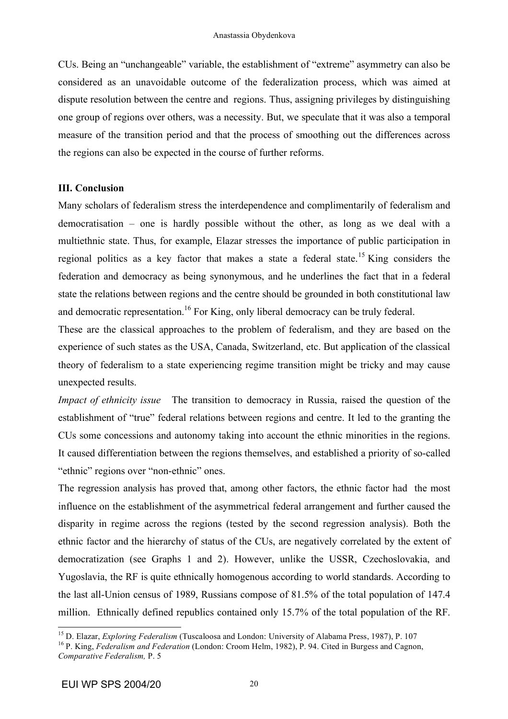CUs. Being an "unchangeable" variable, the establishment of "extreme" asymmetry can also be considered as an unavoidable outcome of the federalization process, which was aimed at dispute resolution between the centre and regions. Thus, assigning privileges by distinguishing one group of regions over others, was a necessity. But, we speculate that it was also a temporal measure of the transition period and that the process of smoothing out the differences across the regions can also be expected in the course of further reforms.

## **III. Conclusion**

Many scholars of federalism stress the interdependence and complimentarily of federalism and democratisation – one is hardly possible without the other, as long as we deal with a multiethnic state. Thus, for example, Elazar stresses the importance of public participation in regional politics as a key factor that makes a state a federal state.<sup>15</sup> King considers the federation and democracy as being synonymous, and he underlines the fact that in a federal state the relations between regions and the centre should be grounded in both constitutional law and democratic representation.<sup>16</sup> For King, only liberal democracy can be truly federal.

These are the classical approaches to the problem of federalism, and they are based on the experience of such states as the USA, Canada, Switzerland, etc. But application of the classical theory of federalism to a state experiencing regime transition might be tricky and may cause unexpected results.

*Impact of ethnicity issue* The transition to democracy in Russia, raised the question of the establishment of "true" federal relations between regions and centre. It led to the granting the CUs some concessions and autonomy taking into account the ethnic minorities in the regions. It caused differentiation between the regions themselves, and established a priority of so-called "ethnic" regions over "non-ethnic" ones.

The regression analysis has proved that, among other factors, the ethnic factor had the most influence on the establishment of the asymmetrical federal arrangement and further caused the disparity in regime across the regions (tested by the second regression analysis). Both the ethnic factor and the hierarchy of status of the CUs, are negatively correlated by the extent of democratization (see Graphs 1 and 2). However, unlike the USSR, Czechoslovakia, and Yugoslavia, the RF is quite ethnically homogenous according to world standards. According to the last all-Union census of 1989, Russians compose of 81.5% of the total population of 147.4 million. Ethnically defined republics contained only 15.7% of the total population of the RF.

<sup>&</sup>lt;sup>15</sup> D. Elazar, *Exploring Federalism* (Tuscaloosa and London: University of Alabama Press, 1987), P. 107<br><sup>16</sup> P. King, *Federalism and Federation* (London: Croom Helm, 1982), P. 94. Cited in Burgess and Cagnon, *Comparative Federalism,* P. 5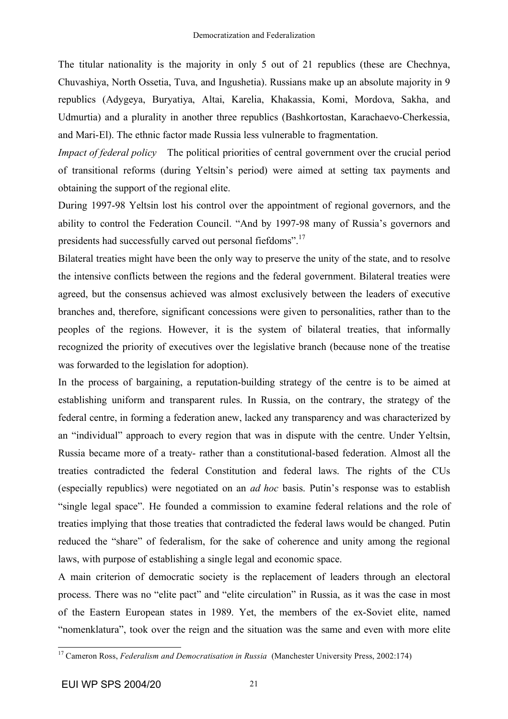The titular nationality is the majority in only 5 out of 21 republics (these are Chechnya, Chuvashiya, North Ossetia, Tuva, and Ingushetia). Russians make up an absolute majority in 9 republics (Adygeya, Buryatiya, Altai, Karelia, Khakassia, Komi, Mordova, Sakha, and Udmurtia) and a plurality in another three republics (Bashkortostan, Karachaevo-Cherkessia, and Mari-El). The ethnic factor made Russia less vulnerable to fragmentation.

*Impact of federal policy* The political priorities of central government over the crucial period of transitional reforms (during Yeltsin's period) were aimed at setting tax payments and obtaining the support of the regional elite.

During 1997-98 Yeltsin lost his control over the appointment of regional governors, and the ability to control the Federation Council. "And by 1997-98 many of Russia's governors and presidents had successfully carved out personal fiefdoms".<sup>17</sup>

Bilateral treaties might have been the only way to preserve the unity of the state, and to resolve the intensive conflicts between the regions and the federal government. Bilateral treaties were agreed, but the consensus achieved was almost exclusively between the leaders of executive branches and, therefore, significant concessions were given to personalities, rather than to the peoples of the regions. However, it is the system of bilateral treaties, that informally recognized the priority of executives over the legislative branch (because none of the treatise was forwarded to the legislation for adoption).

In the process of bargaining, a reputation-building strategy of the centre is to be aimed at establishing uniform and transparent rules. In Russia, on the contrary, the strategy of the federal centre, in forming a federation anew, lacked any transparency and was characterized by an "individual" approach to every region that was in dispute with the centre. Under Yeltsin, Russia became more of a treaty- rather than a constitutional-based federation. Almost all the treaties contradicted the federal Constitution and federal laws. The rights of the CUs (especially republics) were negotiated on an *ad hoc* basis. Putin's response was to establish "single legal space". He founded a commission to examine federal relations and the role of treaties implying that those treaties that contradicted the federal laws would be changed. Putin reduced the "share" of federalism, for the sake of coherence and unity among the regional laws, with purpose of establishing a single legal and economic space.

A main criterion of democratic society is the replacement of leaders through an electoral process. There was no "elite pact" and "elite circulation" in Russia, as it was the case in most of the Eastern European states in 1989. Yet, the members of the ex-Soviet elite, named "nomenklatura", took over the reign and the situation was the same and even with more elite

 <sup>17</sup> Cameron Ross, *Federalism and Democratisation in Russia* (Manchester University Press, 2002:174)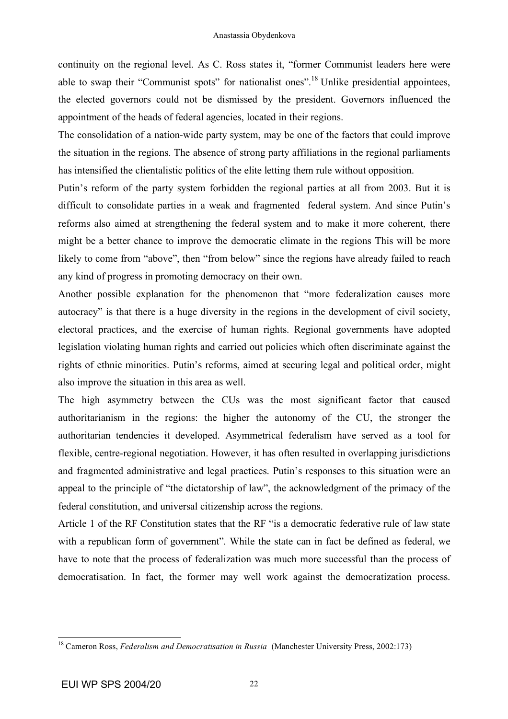continuity on the regional level. As C. Ross states it, "former Communist leaders here were able to swap their "Communist spots" for nationalist ones".<sup>18</sup> Unlike presidential appointees, the elected governors could not be dismissed by the president. Governors influenced the appointment of the heads of federal agencies, located in their regions.

The consolidation of a nation-wide party system, may be one of the factors that could improve the situation in the regions. The absence of strong party affiliations in the regional parliaments has intensified the clientalistic politics of the elite letting them rule without opposition.

Putin's reform of the party system forbidden the regional parties at all from 2003. But it is difficult to consolidate parties in a weak and fragmented federal system. And since Putin's reforms also aimed at strengthening the federal system and to make it more coherent, there might be a better chance to improve the democratic climate in the regions This will be more likely to come from "above", then "from below" since the regions have already failed to reach any kind of progress in promoting democracy on their own.

Another possible explanation for the phenomenon that "more federalization causes more autocracy" is that there is a huge diversity in the regions in the development of civil society, electoral practices, and the exercise of human rights. Regional governments have adopted legislation violating human rights and carried out policies which often discriminate against the rights of ethnic minorities. Putin's reforms, aimed at securing legal and political order, might also improve the situation in this area as well.

The high asymmetry between the CUs was the most significant factor that caused authoritarianism in the regions: the higher the autonomy of the CU, the stronger the authoritarian tendencies it developed. Asymmetrical federalism have served as a tool for flexible, centre-regional negotiation. However, it has often resulted in overlapping jurisdictions and fragmented administrative and legal practices. Putin's responses to this situation were an appeal to the principle of "the dictatorship of law", the acknowledgment of the primacy of the federal constitution, and universal citizenship across the regions.

Article 1 of the RF Constitution states that the RF "is a democratic federative rule of law state with a republican form of government". While the state can in fact be defined as federal, we have to note that the process of federalization was much more successful than the process of democratisation. In fact, the former may well work against the democratization process.

 <sup>18</sup> Cameron Ross, *Federalism and Democratisation in Russia* (Manchester University Press, 2002:173)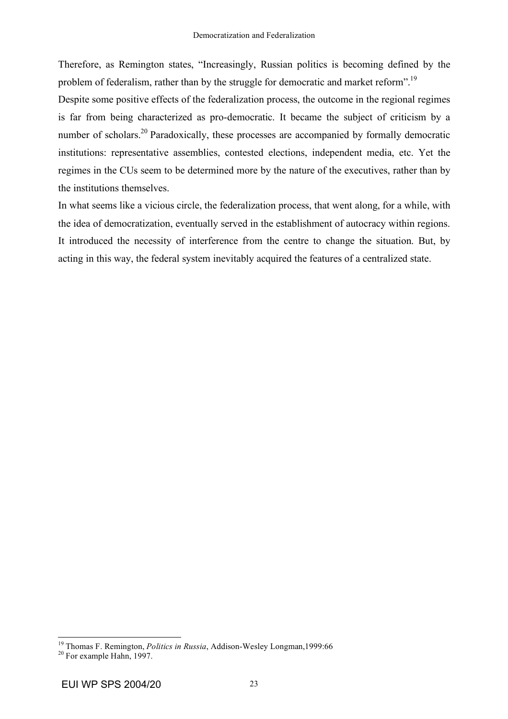Therefore, as Remington states, "Increasingly, Russian politics is becoming defined by the problem of federalism, rather than by the struggle for democratic and market reform".<sup>19</sup>

Despite some positive effects of the federalization process, the outcome in the regional regimes is far from being characterized as pro-democratic. It became the subject of criticism by a number of scholars.<sup>20</sup> Paradoxically, these processes are accompanied by formally democratic institutions: representative assemblies, contested elections, independent media, etc. Yet the regimes in the CUs seem to be determined more by the nature of the executives, rather than by the institutions themselves.

In what seems like a vicious circle, the federalization process, that went along, for a while, with the idea of democratization, eventually served in the establishment of autocracy within regions. It introduced the necessity of interference from the centre to change the situation. But, by acting in this way, the federal system inevitably acquired the features of a centralized state.

<sup>&</sup>lt;sup>19</sup> Thomas F. Remington, *Politics in Russia*, Addison-Wesley Longman,1999:66<sup>20</sup> For example Hahn, 1997.